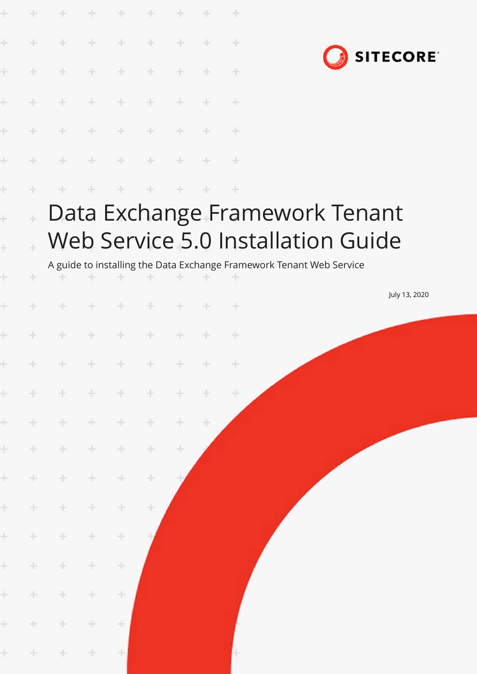|                             | ÷                 | ÷                                                                | ÷     | ÷             | $+$                              |       |        | $+$   |                                                                                                                                              |  |                 |  |
|-----------------------------|-------------------|------------------------------------------------------------------|-------|---------------|----------------------------------|-------|--------|-------|----------------------------------------------------------------------------------------------------------------------------------------------|--|-----------------|--|
| Ł                           | $\frac{1}{2}$     | ÷                                                                | ÷     | $\frac{1}{2}$ | $+$                              | ÷     | ÷      | ÷     |                                                                                                                                              |  |                 |  |
| ł                           | ÷                 | ÷                                                                | ÷     | ÷             | ÷                                | ÷     | ÷      | ÷     |                                                                                                                                              |  | <b>SITECORE</b> |  |
| ŀ                           |                   |                                                                  |       |               |                                  |       |        | ÷     |                                                                                                                                              |  |                 |  |
| ł                           |                   |                                                                  |       |               |                                  |       |        | ÷     |                                                                                                                                              |  |                 |  |
| ł                           |                   |                                                                  |       |               |                                  |       |        | ÷     |                                                                                                                                              |  |                 |  |
| ÷                           |                   |                                                                  |       |               |                                  |       |        | ÷     |                                                                                                                                              |  |                 |  |
| $\ddot{}$<br>$\ddot{}$<br>÷ | $\ddot{\pm}$<br>÷ |                                                                  |       |               |                                  |       |        |       | Data Exchange Framework Tenant<br>Web Service 5.0 Installation Guide<br>A guide to installing the Data Exchange Framework Tenant Web Service |  |                 |  |
|                             |                   | ÷                                                                |       | ÷             | ÷.                               | ÷     | -      | $+$   |                                                                                                                                              |  | July 13, 2020   |  |
| Ł                           |                   |                                                                  |       | ÷             | ÷                                | ÷     |        | ÷     |                                                                                                                                              |  |                 |  |
| ÷                           | $\pm$             | $+ + + +$                                                        |       |               | $\qquad \qquad +\qquad \qquad +$ |       | $+$    | $\pm$ |                                                                                                                                              |  |                 |  |
| $\pm$                       | $+$               | $\begin{array}{ccccccccccccccccc} + & & & + & & & & \end{array}$ |       | $+$           | $+$                              | $\pm$ | $+$    | 十     |                                                                                                                                              |  |                 |  |
| $\pm$                       | $+$               | ÷                                                                | $+$   | $\div$        | ÷                                | ÷.    | $\div$ |       |                                                                                                                                              |  |                 |  |
| $\pm$                       | $+$               | $\pm$                                                            | $\pm$ | ÷             | ÷.                               | ÷     |        |       |                                                                                                                                              |  |                 |  |
| $\pm$                       | $+$               | $+$                                                              | $\pm$ | $\div$        | ÷                                |       |        |       |                                                                                                                                              |  |                 |  |
| $\pm$                       | $\pm$             | ÷                                                                | ÷.    | $\div$        | ÷                                |       |        |       |                                                                                                                                              |  |                 |  |
| $\pm$                       | $+$               | ÷.                                                               | ÷     | $\!+\!$       |                                  |       |        |       |                                                                                                                                              |  |                 |  |
| $\pm$                       | $\div$            | $\pm$                                                            | ÷     | $\div$        |                                  |       |        |       |                                                                                                                                              |  |                 |  |
| $\pm$                       | $\pm$             | ÷.                                                               | ÷     | $\pm$         |                                  |       |        |       |                                                                                                                                              |  |                 |  |
| $\pm$                       | $+$               | $\pm$                                                            | $\pm$ | $\div$        |                                  |       |        |       |                                                                                                                                              |  |                 |  |
| $\pm$                       | ÷                 | $\pm$                                                            | $\pm$ | 土             |                                  |       |        | ÷     |                                                                                                                                              |  |                 |  |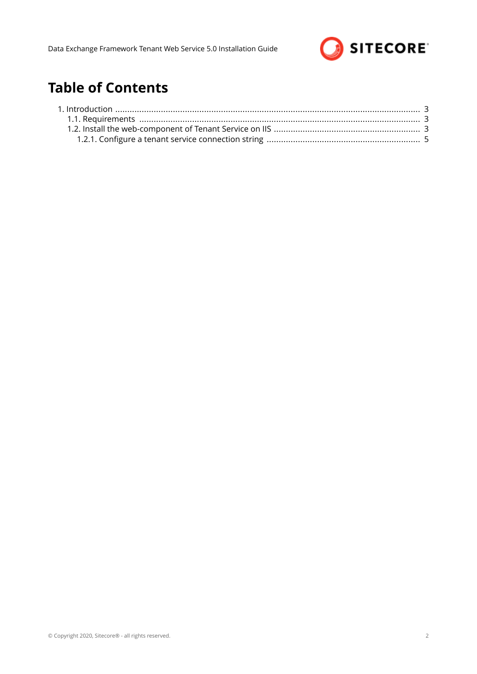

# **Table of Contents**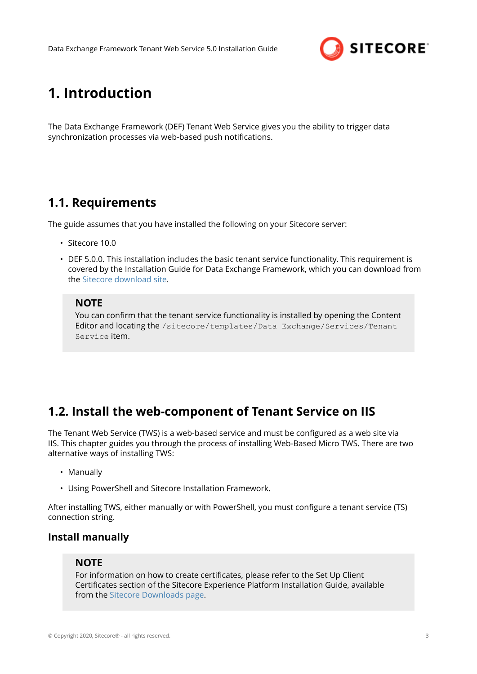

# <span id="page-2-0"></span>**1. Introduction**

The Data Exchange Framework (DEF) Tenant Web Service gives you the ability to trigger data synchronization processes via web-based push notifications.

# **1.1. Requirements**

The guide assumes that you have installed the following on your Sitecore server:

- Sitecore 10.0
- DEF 5.0.0. This installation includes the basic tenant service functionality. This requirement is covered by the Installation Guide for Data Exchange Framework, which you can download from the [Sitecore download site](https://dev.sitecore.net/downloads).

# **NOTE**

You can confirm that the tenant service functionality is installed by opening the Content Editor and locating the /sitecore/templates/Data Exchange/Services/Tenant Service item.

# **1.2. Install the web-component of Tenant Service on IIS**

The Tenant Web Service (TWS) is a web-based service and must be configured as a web site via IIS. This chapter guides you through the process of installing Web-Based Micro TWS. There are two alternative ways of installing TWS:

- Manually
- Using PowerShell and Sitecore Installation Framework.

After installing TWS, either manually or with PowerShell, you must configure a tenant service (TS) connection string.

# **Install manually**

# **NOTE**

For information on how to create certificates, please refer to the Set Up Client Certificates section of the Sitecore Experience Platform Installation Guide, available from the [Sitecore Downloads page.](https://dev.sitecore.net/Downloads.aspx)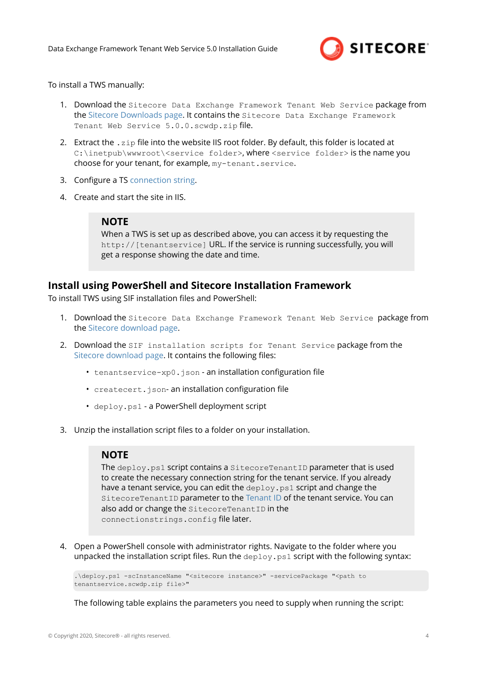

#### To install a TWS manually:

- 1. Download the Sitecore Data Exchange Framework Tenant Web Service package from the [Sitecore Downloads page.](https://dev.sitecore.net/Downloads.aspx) It contains the Sitecore Data Exchange Framework Tenant Web Service 5.0.0.scwdp.zip file.
- 2. Extract the . zip file into the website IIS root folder. By default, this folder is located at C:\inetpub\wwwroot\<service folder>, where <service folder> is the name you choose for your tenant, for example, my-tenant.service.
- 3. Configure a TS [connection string](#page-4-0).
- 4. Create and start the site in IIS.

## **NOTE**

When a TWS is set up as described above, you can access it by requesting the http://[tenantservice] URL. If the service is running successfully, you will get a response showing the date and time.

## **Install using PowerShell and Sitecore Installation Framework**

To install TWS using SIF installation files and PowerShell:

- 1. Download the Sitecore Data Exchange Framework Tenant Web Service package from the [Sitecore download page.](https://dev.sitecore.net)
- 2. Download the SIF installation scripts for Tenant Service package from the [Sitecore download page](https://dev.sitecore.net). It contains the following files:
	- tenantservice-xp0.json an installation configuration file
	- createcert.json- an installation configuration file
	- deploy.ps1 a PowerShell deployment script
- 3. Unzip the installation script files to a folder on your installation.

## **NOTE**

The deploy.ps1 script contains a SitecoreTenantID parameter that is used to create the necessary connection string for the tenant service. If you already have a tenant service, you can edit the deploy.ps1 script and change the SitecoreTenantID parameter to the Tenant ID of the tenant service. You can also add or change the SitecoreTenantID in the connectionstrings.config file later.

4. Open a PowerShell console with administrator rights. Navigate to the folder where you unpacked the installation script files. Run the  $\text{depth}$ ,  $p \text{ all}$  script with the following syntax:

```
.\deploy.ps1 -scInstanceName "<sitecore instance>" -servicePackage "<path to 
tenantservice.scwdp.zip file>"
```
The following table explains the parameters you need to supply when running the script: